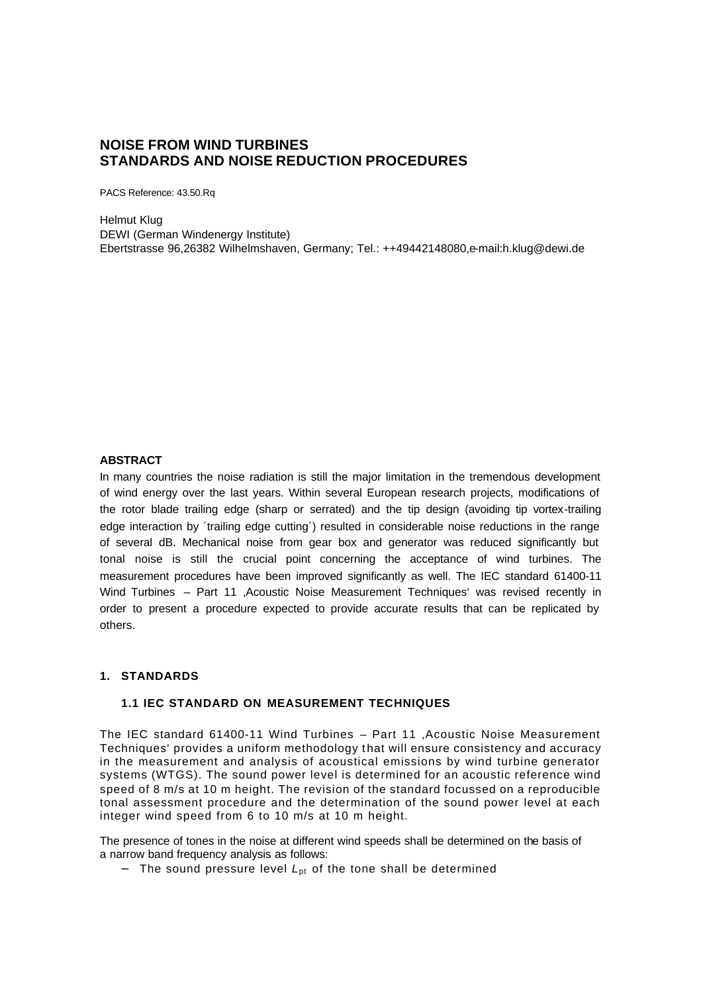## **NOISE FROM WIND TURBINES STANDARDS AND NOISE REDUCTION PROCEDURES**

PACS Reference: 43.50.Rq

Helmut Klug DEWI (German Windenergy Institute) Ebertstrasse 96,26382 Wilhelmshaven, Germany; Tel.: ++49442148080,e-mail:h.klug@dewi.de

#### **ABSTRACT**

In many countries the noise radiation is still the major limitation in the tremendous development of wind energy over the last years. Within several European research projects, modifications of the rotor blade trailing edge (sharp or serrated) and the tip design (avoiding tip vortex-trailing edge interaction by ´trailing edge cutting´) resulted in considerable noise reductions in the range of several dB. Mechanical noise from gear box and generator was reduced significantly but tonal noise is still the crucial point concerning the acceptance of wind turbines. The measurement procedures have been improved significantly as well. The IEC standard 61400-11 Wind Turbines – Part 11 'Acoustic Noise Measurement Techniques' was revised recently in order to present a procedure expected to provide accurate results that can be replicated by others.

#### **1. STANDARDS**

#### **1.1 IEC STANDARD ON MEASUREMENT TECHNIQUES**

The IEC standard 61400-11 Wind Turbines - Part 11 , Acoustic Noise Measurement Techniques' provides a uniform methodology t hat will ensure consistency and accuracy in the measurement and analysis of acoustical emissions by wind turbine generator systems (WTGS). The sound power level is determined for an acoustic reference wind speed of 8 m/s at 10 m height. The revision of the standard focussed on a reproducible tonal assessment procedure and the determination of the sound power level at each integer wind speed from 6 to 10 m/s at 10 m height.

The presence of tones in the noise at different wind speeds shall be determined on the basis of a narrow band frequency analysis as follows:

− The sound pressure level *L*pt of the tone shall be determined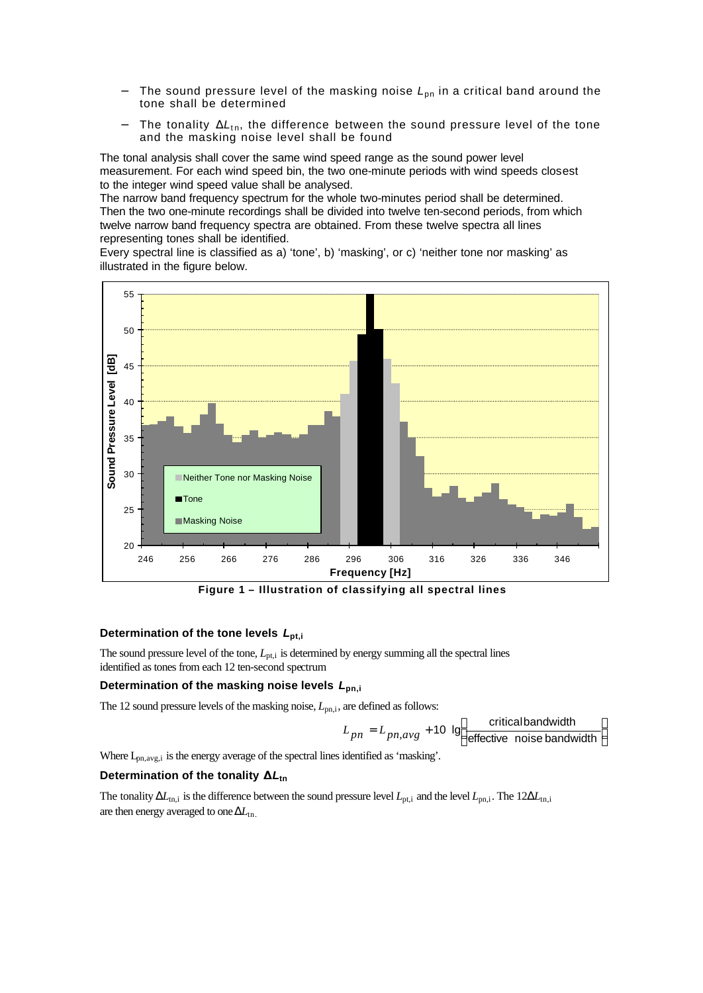- The sound pressure level of the masking noise *L*<sub>pn</sub> in a critical band around the tone shall be determined
- The tonality  $\Delta L_{\text{tn}}$ , the difference between the sound pressure level of the tone and the masking noise level shall be found

The tonal analysis shall cover the same wind speed range as the sound power level measurement. For each wind speed bin, the two one-minute periods with wind speeds closest to the integer wind speed value shall be analysed.

The narrow band frequency spectrum for the whole two-minutes period shall be determined. Then the two one-minute recordings shall be divided into twelve ten-second periods, from which twelve narrow band frequency spectra are obtained. From these twelve spectra all lines representing tones shall be identified.

Every spectral line is classified as a) 'tone', b) 'masking', or c) 'neither tone nor masking' as illustrated in the figure below.



 **Figure 1 – Illustration of classifying all spectral lines**

#### **Determination of the tone levels** *L***pt,i**

The sound pressure level of the tone,  $L_{pt,i}$  is determined by energy summing all the spectral lines identified as tones from each 12 ten-second spectrum

#### **Determination of the masking noise levels** *L***pn,i**

The 12 sound pressure levels of the masking noise,  $L_{pn,i}$ , are defined as follows:

$$
L_{pn} = L_{pn,avg} + 10 \text{ lg} \left[ \frac{\text{critical bandwidth}}{\text{effective noise bandwidth}} \right]
$$

 $\overline{\phantom{a}}$ J  $\overline{\phantom{a}}$ 

Where  $L_{\text{pn,avg,i}}$  is the energy average of the spectral lines identified as 'masking'.

#### **Determination of the tonality D***L***tn**

The tonality  $\Delta L_{\text{tn,i}}$  is the difference between the sound pressure level  $L_{\text{nt,i}}$  and the level  $L_{\text{pn,i}}$ . The  $12\Delta L_{\text{tn,i}}$ are then energy averaged to one  $\Delta L_{\text{tn}}$ .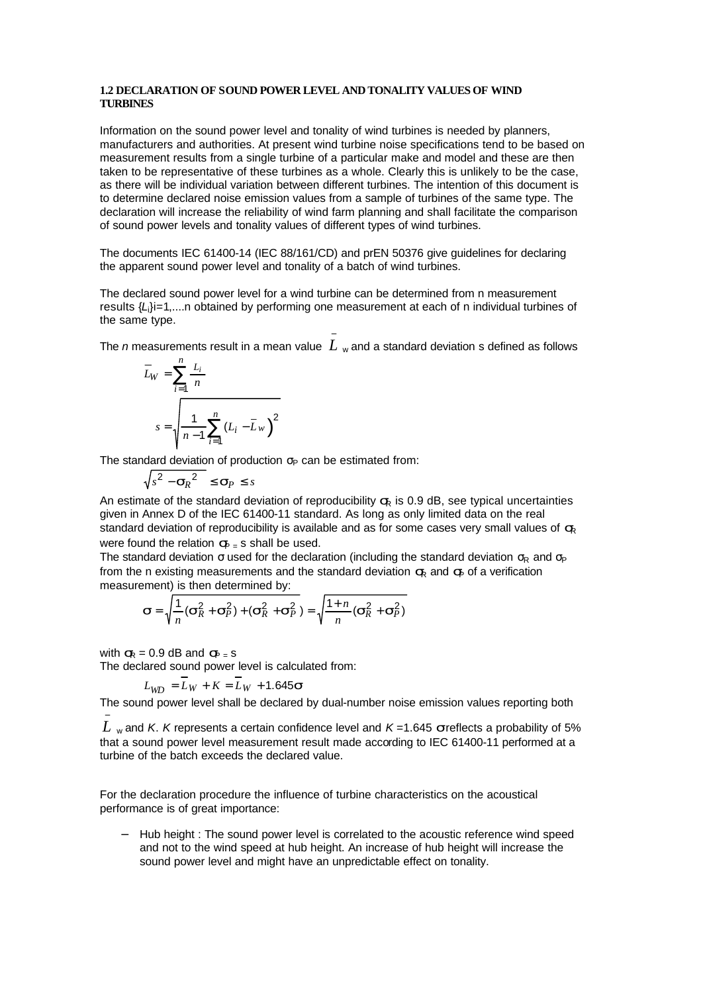#### **1.2 DECLARATION OF SOUND POWER LEVEL AND TONALITY VALUES OF WIND TURBINES**

Information on the sound power level and tonality of wind turbines is needed by planners, manufacturers and authorities. At present wind turbine noise specifications tend to be based on measurement results from a single turbine of a particular make and model and these are then taken to be representative of these turbines as a whole. Clearly this is unlikely to be the case, as there will be individual variation between different turbines. The intention of this document is to determine declared noise emission values from a sample of turbines of the same type. The declaration will increase the reliability of wind farm planning and shall facilitate the comparison of sound power levels and tonality values of different types of wind turbines.

The documents IEC 61400-14 (IEC 88/161/CD) and prEN 50376 give guidelines for declaring the apparent sound power level and tonality of a batch of wind turbines.

The declared sound power level for a wind turbine can be determined from n measurement results {*L*i}i=1,....n obtained by performing one measurement at each of n individual turbines of the same type.

The *n* measurements result in a mean value  $\,L\,$  <sub>w</sub> and a standard deviation s defined as follows −

$$
\overline{L}_W = \sum_{i=1}^n \frac{L_i}{n}
$$
\n
$$
s = \sqrt{\frac{1}{n-1} \sum_{i=1}^n (L_i - \overline{L}_W)^2}
$$

The standard deviation of production  $\sigma_P$  can be estimated from:

$$
\sqrt{s^2 - {\bf s}_R^2} \le {\bf s}_P \le s
$$

An estimate of the standard deviation of reproducibility  $\leq R$  is 0.9 dB, see typical uncertainties given in Annex D of the IEC 61400-11 standard. As long as only limited data on the real standard deviation of reproducibility is available and as for some cases very small values of  $\leq$ were found the relation  $\mathbf{S}_{\text{F}}$  is shall be used.

The standard deviation  $\sigma$  used for the declaration (including the standard deviation  $\sigma_R$  and  $\sigma_P$ from the n existing measurements and the standard deviation  $\mathbf{F}$  and  $\mathbf{F}$  of a verification measurement) is then determined by:

$$
\boldsymbol{S} = \sqrt{\frac{1}{n}(\boldsymbol{S}_R^2 + \boldsymbol{S}_P^2) + (\boldsymbol{S}_R^2 + \boldsymbol{S}_P^2)} = \sqrt{\frac{1 + n}{n}(\boldsymbol{S}_R^2 + \boldsymbol{S}_P^2)}
$$

with  $s_R = 0.9$  dB and  $s_{R} = s$ 

−

The declared sound power level is calculated from:

$$
L_{WD} = \overline{L}_W + K = \overline{L}_W + 1.645 \mathbf{s}
$$

The sound power level shall be declared by dual-number noise emission values reporting both

 $L$  <sub>w</sub> and *K*. *K* represents a certain confidence level and *K* =1.645 *s* reflects a probability of 5% that a sound power level measurement result made according to IEC 61400-11 performed at a turbine of the batch exceeds the declared value.

For the declaration procedure the influence of turbine characteristics on the acoustical performance is of great importance:

− Hub height : The sound power level is correlated to the acoustic reference wind speed and not to the wind speed at hub height. An increase of hub height will increase the sound power level and might have an unpredictable effect on tonality.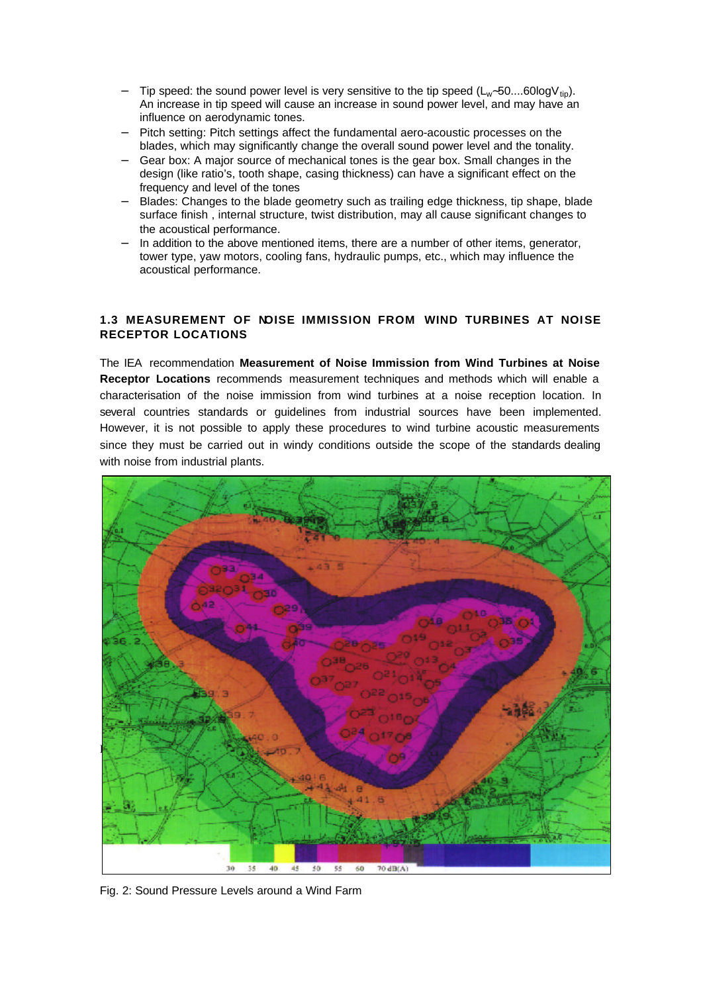- Tip speed: the sound power level is very sensitive to the tip speed (L<sub>w</sub>∼50....60logV<sub>tip</sub>). An increase in tip speed will cause an increase in sound power level, and may have an influence on aerodynamic tones.
- − Pitch setting: Pitch settings affect the fundamental aero-acoustic processes on the blades, which may significantly change the overall sound power level and the tonality.
- − Gear box: A major source of mechanical tones is the gear box. Small changes in the design (like ratio's, tooth shape, casing thickness) can have a significant effect on the frequency and level of the tones
- − Blades: Changes to the blade geometry such as trailing edge thickness, tip shape, blade surface finish , internal structure, twist distribution, may all cause significant changes to the acoustical performance.
- In addition to the above mentioned items, there are a number of other items, generator, tower type, yaw motors, cooling fans, hydraulic pumps, etc., which may influence the acoustical performance.

### **1.3 MEASUREMENT OF NOISE IMMISSION FROM WIND TURBINES AT NOISE RECEPTOR LOCATIONS**

The IEA recommendation **Measurement of Noise Immission from Wind Turbines at Noise Receptor Locations** recommends measurement techniques and methods which will enable a characterisation of the noise immission from wind turbines at a noise reception location. In several countries standards or guidelines from industrial sources have been implemented. However, it is not possible to apply these procedures to wind turbine acoustic measurements since they must be carried out in windy conditions outside the scope of the standards dealing with noise from industrial plants.



Fig. 2: Sound Pressure Levels around a Wind Farm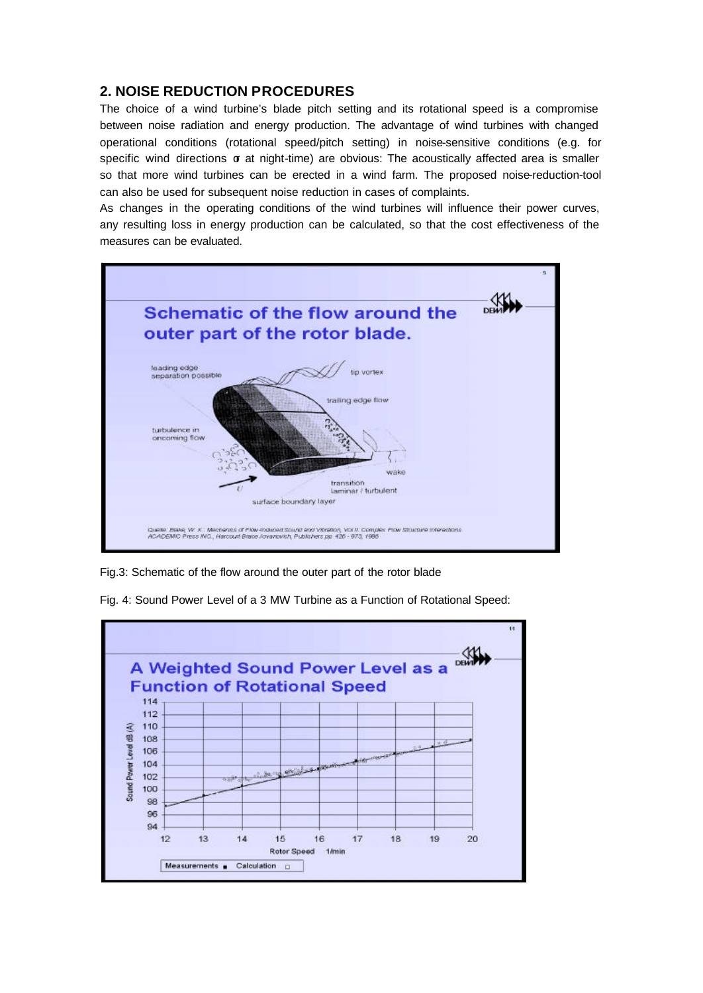# **2. NOISE REDUCTION PROCEDURES**

The choice of a wind turbine's blade pitch setting and its rotational speed is a compromise between noise radiation and energy production. The advantage of wind turbines with changed operational conditions (rotational speed/pitch setting) in noise-sensitive conditions (e.g. for specific wind directions  $\sigma$  at night-time) are obvious: The acoustically affected area is smaller so that more wind turbines can be erected in a wind farm. The proposed noise-reduction-tool can also be used for subsequent noise reduction in cases of complaints.

As changes in the operating conditions of the wind turbines will influence their power curves, any resulting loss in energy production can be calculated, so that the cost effectiveness of the measures can be evaluated.



Fig.3: Schematic of the flow around the outer part of the rotor blade



Fig. 4: Sound Power Level of a 3 MW Turbine as a Function of Rotational Speed: